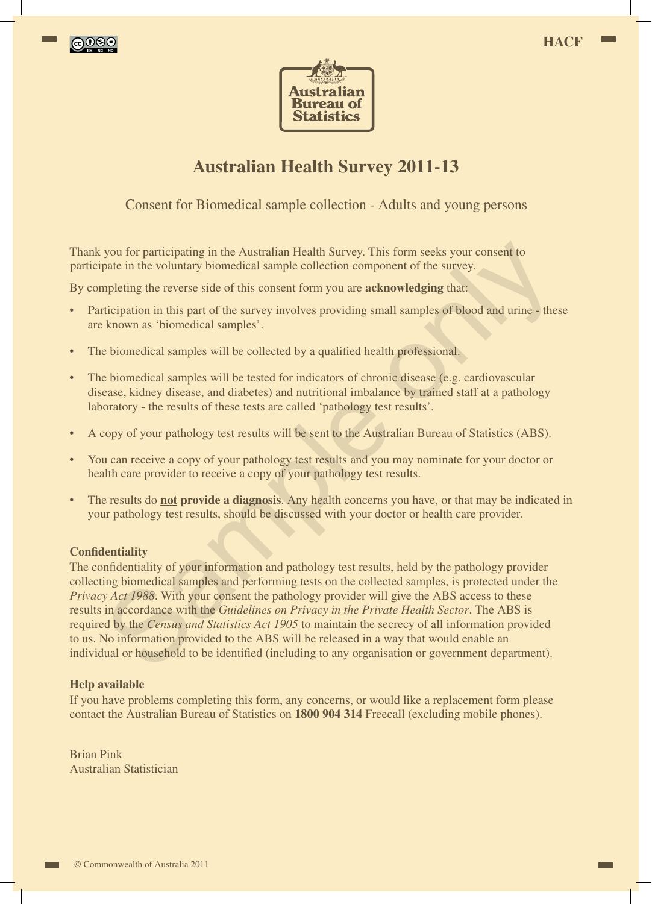



## **Australian Health Survey 2011-13**

Consent for Biomedical sample collection - Adults and young persons

Thank you for participating in the Australian Health Survey. This form seeks your consent to participate in the voluntary biomedical sample collection component of the survey.

By completing the reverse side of this consent form you are **acknowledging** that:

- Participation in this part of the survey involves providing small samples of blood and urine these are known as 'biomedical samples'.
- The biomedical samples will be collected by a qualified health professional.
- The biomedical samples will be tested for indicators of chronic disease (e.g. cardiovascular disease, kidney disease, and diabetes) and nutritional imbalance by trained staff at a pathology laboratory - the results of these tests are called 'pathology test results'.
- A copy of your pathology test results will be sent to the Australian Bureau of Statistics (ABS).
- You can receive a copy of your pathology test results and you may nominate for your doctor or health care provider to receive a copy of your pathology test results.
- The results do **not provide a diagnosis**. Any health concerns you have, or that may be indicated in your pathology test results, should be discussed with your doctor or health care provider.

## **Confidentiality**

The confidentiality of your information and pathology test results, held by the pathology provider collecting biomedical samples and performing tests on the collected samples, is protected under the *Privacy Act 1988*. With your consent the pathology provider will give the ABS access to these results in accordance with the *Guidelines on Privacy in the Private Health Sector*. The ABS is required by the *Census and Statistics Act 1905* to maintain the secrecy of all information provided to us. No information provided to the ABS will be released in a way that would enable an individual or household to be identified (including to any organisation or government department). you for participating in the Australian Health Survey. This form secks your consent to pate in the voluntary biomedical sample collection component of the survey.<br>mpleting the reverse side of this consent form you are **ac** 

## **Help available**

If you have problems completing this form, any concerns, or would like a replacement form please contact the Australian Bureau of Statistics on **1800 904 314** Freecall (excluding mobile phones).

Brian Pink Australian Statistician